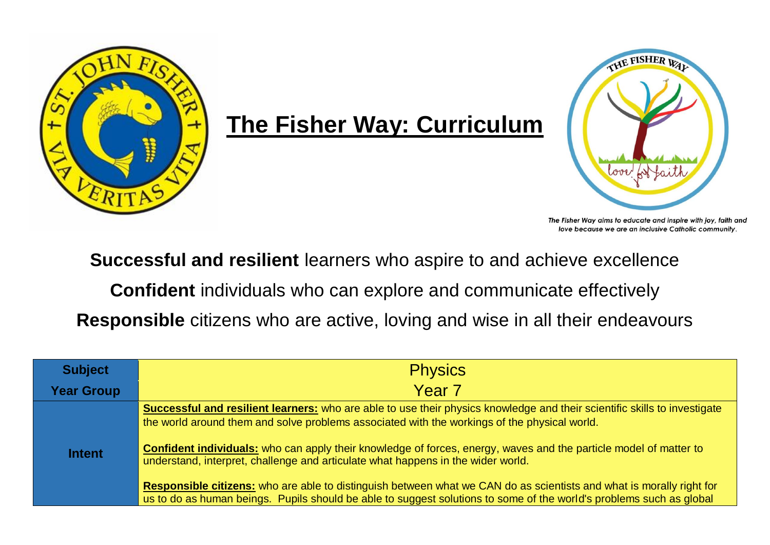

## **The Fisher Way: Curriculum**



The Fisher Way aims to educate and inspire with joy, faith and love because we are an inclusive Catholic community.

**Successful and resilient** learners who aspire to and achieve excellence

**Confident** individuals who can explore and communicate effectively

**Responsible** citizens who are active, loving and wise in all their endeavours

| <b>Subject</b>    | <b>Physics</b>                                                                                                                                                                                                                                                                                                                                                                                                                                   |
|-------------------|--------------------------------------------------------------------------------------------------------------------------------------------------------------------------------------------------------------------------------------------------------------------------------------------------------------------------------------------------------------------------------------------------------------------------------------------------|
| <b>Year Group</b> | Year <sub>7</sub>                                                                                                                                                                                                                                                                                                                                                                                                                                |
| <b>Intent</b>     | <b>Successful and resilient learners:</b> who are able to use their physics knowledge and their scientific skills to investigate<br>the world around them and solve problems associated with the workings of the physical world.<br><b>Confident individuals:</b> who can apply their knowledge of forces, energy, waves and the particle model of matter to<br>understand, interpret, challenge and articulate what happens in the wider world. |
|                   | Responsible citizens: who are able to distinguish between what we CAN do as scientists and what is morally right for<br>us to do as human beings. Pupils should be able to suggest solutions to some of the world's problems such as global                                                                                                                                                                                                      |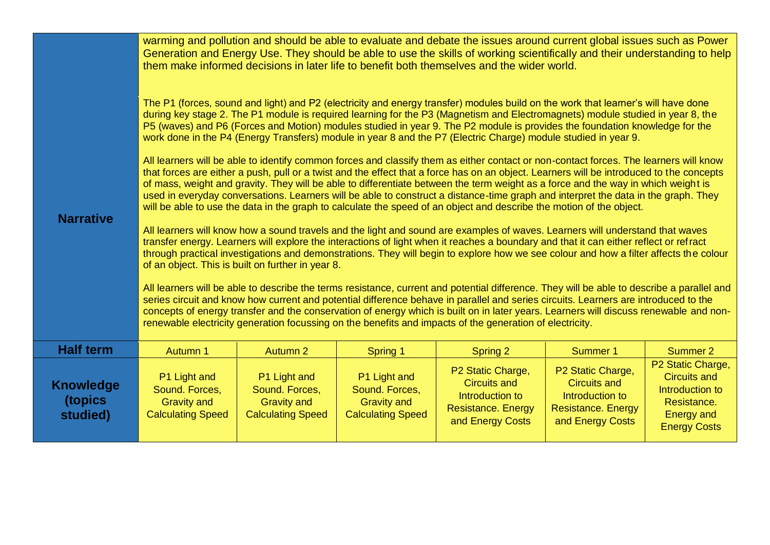|                                         | warming and pollution and should be able to evaluate and debate the issues around current global issues such as Power<br>Generation and Energy Use. They should be able to use the skills of working scientifically and their understanding to help<br>them make informed decisions in later life to benefit both themselves and the wider world.                                                                                                                                                                                                                                                                                                                                                                                                                                                                                                                                                                                                                                                                                                                                                                                                                                                                                                                                                                                                                                                                                                                                                                                                                                                                                                                                                                                                                                                                                                                                                                                                                                                                                                                                                                                                                                                                              |                                                                                  |                                                                                  |                                                                                                              |                                                                                                              |                                                                                                                        |  |  |  |
|-----------------------------------------|--------------------------------------------------------------------------------------------------------------------------------------------------------------------------------------------------------------------------------------------------------------------------------------------------------------------------------------------------------------------------------------------------------------------------------------------------------------------------------------------------------------------------------------------------------------------------------------------------------------------------------------------------------------------------------------------------------------------------------------------------------------------------------------------------------------------------------------------------------------------------------------------------------------------------------------------------------------------------------------------------------------------------------------------------------------------------------------------------------------------------------------------------------------------------------------------------------------------------------------------------------------------------------------------------------------------------------------------------------------------------------------------------------------------------------------------------------------------------------------------------------------------------------------------------------------------------------------------------------------------------------------------------------------------------------------------------------------------------------------------------------------------------------------------------------------------------------------------------------------------------------------------------------------------------------------------------------------------------------------------------------------------------------------------------------------------------------------------------------------------------------------------------------------------------------------------------------------------------------|----------------------------------------------------------------------------------|----------------------------------------------------------------------------------|--------------------------------------------------------------------------------------------------------------|--------------------------------------------------------------------------------------------------------------|------------------------------------------------------------------------------------------------------------------------|--|--|--|
| <b>Narrative</b>                        | The P1 (forces, sound and light) and P2 (electricity and energy transfer) modules build on the work that learner's will have done<br>during key stage 2. The P1 module is required learning for the P3 (Magnetism and Electromagnets) module studied in year 8, the<br>P5 (waves) and P6 (Forces and Motion) modules studied in year 9. The P2 module is provides the foundation knowledge for the<br>work done in the P4 (Energy Transfers) module in year 8 and the P7 (Electric Charge) module studied in year 9.<br>All learners will be able to identify common forces and classify them as either contact or non-contact forces. The learners will know<br>that forces are either a push, pull or a twist and the effect that a force has on an object. Learners will be introduced to the concepts<br>of mass, weight and gravity. They will be able to differentiate between the term weight as a force and the way in which weight is<br>used in everyday conversations. Learners will be able to construct a distance-time graph and interpret the data in the graph. They<br>will be able to use the data in the graph to calculate the speed of an object and describe the motion of the object.<br>All learners will know how a sound travels and the light and sound are examples of waves. Learners will understand that waves<br>transfer energy. Learners will explore the interactions of light when it reaches a boundary and that it can either reflect or refract<br>through practical investigations and demonstrations. They will begin to explore how we see colour and how a filter affects the colour<br>of an object. This is built on further in year 8.<br>All learners will be able to describe the terms resistance, current and potential difference. They will be able to describe a parallel and<br>series circuit and know how current and potential difference behave in parallel and series circuits. Learners are introduced to the<br>concepts of energy transfer and the conservation of energy which is built on in later years. Learners will discuss renewable and non-<br>renewable electricity generation focussing on the benefits and impacts of the generation of electricity. |                                                                                  |                                                                                  |                                                                                                              |                                                                                                              |                                                                                                                        |  |  |  |
| <b>Half term</b>                        | Autumn 1                                                                                                                                                                                                                                                                                                                                                                                                                                                                                                                                                                                                                                                                                                                                                                                                                                                                                                                                                                                                                                                                                                                                                                                                                                                                                                                                                                                                                                                                                                                                                                                                                                                                                                                                                                                                                                                                                                                                                                                                                                                                                                                                                                                                                       | <b>Autumn 2</b>                                                                  | Spring 1                                                                         | Spring 2                                                                                                     | <b>Summer 1</b>                                                                                              | <b>Summer 2</b>                                                                                                        |  |  |  |
| <b>Knowledge</b><br>(topics<br>studied) | P1 Light and<br>Sound. Forces,<br><b>Gravity and</b><br><b>Calculating Speed</b>                                                                                                                                                                                                                                                                                                                                                                                                                                                                                                                                                                                                                                                                                                                                                                                                                                                                                                                                                                                                                                                                                                                                                                                                                                                                                                                                                                                                                                                                                                                                                                                                                                                                                                                                                                                                                                                                                                                                                                                                                                                                                                                                               | P1 Light and<br>Sound. Forces,<br><b>Gravity and</b><br><b>Calculating Speed</b> | P1 Light and<br>Sound. Forces,<br><b>Gravity and</b><br><b>Calculating Speed</b> | P2 Static Charge,<br><b>Circuits and</b><br>Introduction to<br><b>Resistance. Energy</b><br>and Energy Costs | P2 Static Charge,<br><b>Circuits and</b><br>Introduction to<br><b>Resistance. Energy</b><br>and Energy Costs | P2 Static Charge,<br><b>Circuits and</b><br>Introduction to<br>Resistance.<br><b>Energy and</b><br><b>Energy Costs</b> |  |  |  |